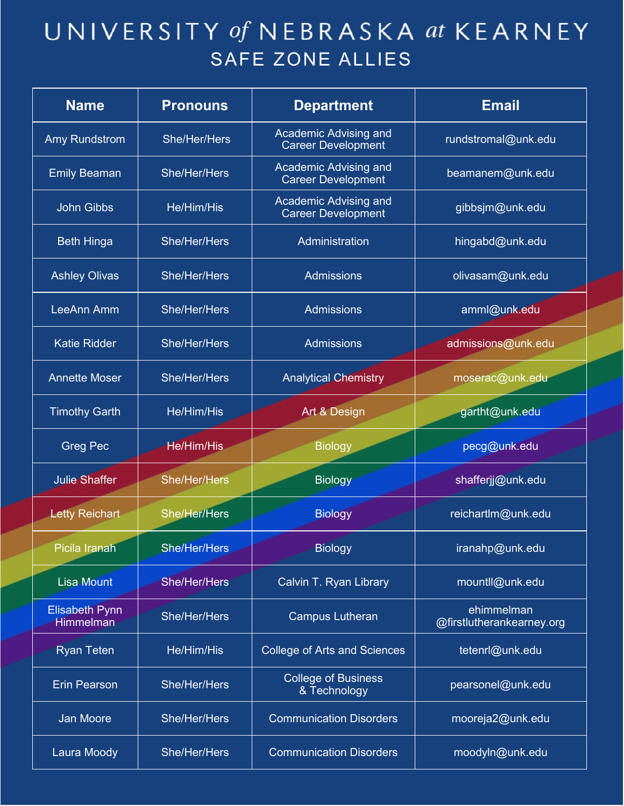| <b>Name</b>                               | <b>Pronouns</b>   | <b>Department</b>                                  | <b>Email</b>                            |
|-------------------------------------------|-------------------|----------------------------------------------------|-----------------------------------------|
| <b>Amy Rundstrom</b>                      | She/Her/Hers      | Academic Advising and<br><b>Career Development</b> | rundstromal@unk.edu                     |
| <b>Emily Beaman</b>                       | She/Her/Hers      | Academic Advising and<br><b>Career Development</b> | beamanem@unk.edu                        |
| <b>John Gibbs</b>                         | He/Him/His        | Academic Advising and<br><b>Career Development</b> | gibbsjm@unk.edu                         |
| <b>Beth Hinga</b>                         | She/Her/Hers      | Administration                                     | hingabd@unk.edu                         |
| <b>Ashley Olivas</b>                      | She/Her/Hers      | <b>Admissions</b>                                  | olivasam@unk.edu                        |
| LeeAnn Amm                                | She/Her/Hers      | <b>Admissions</b>                                  | amml@unk.edu                            |
| <b>Katie Ridder</b>                       | She/Her/Hers      | <b>Admissions</b>                                  | admissions@unk.edu                      |
| <b>Annette Moser</b>                      | She/Her/Hers      | <b>Analytical Chemistry</b>                        | moserac@unk.edu                         |
| <b>Timothy Garth</b>                      | He/Him/His        | Art & Design                                       | gartht@unk.edu                          |
| <b>Greg Pec</b>                           | <b>He/Him/His</b> | <b>Biology</b>                                     | pecg@unk.edu                            |
| <b>Julie Shaffer</b>                      | She/Her/Hers      | <b>Biology</b>                                     | shafferjj@unk.edu                       |
| <b>Letty Reichart</b>                     | She/Her/Hers      | <b>Biology</b>                                     | reichartlm@unk.edu                      |
| Picila Iranah                             | She/Her/Hers      | <b>Biology</b>                                     | iranahp@unk.edu                         |
| <b>Lisa Mount</b>                         | She/Her/Hers      | Calvin T. Ryan Library                             | mountll@unk.edu                         |
| <b>Elisabeth Pynn</b><br><b>Himmelman</b> | She/Her/Hers      | <b>Campus Lutheran</b>                             | ehimmelman<br>@firstlutherankearney.org |
| <b>Ryan Teten</b>                         | He/Him/His        | <b>College of Arts and Sciences</b>                | tetenrl@unk.edu                         |
| <b>Erin Pearson</b>                       | She/Her/Hers      | <b>College of Business</b><br>& Technology         | pearsonel@unk.edu                       |
| <b>Jan Moore</b>                          | She/Her/Hers      | <b>Communication Disorders</b>                     | mooreja2@unk.edu                        |
| Laura Moody                               | She/Her/Hers      | <b>Communication Disorders</b>                     | moodyln@unk.edu                         |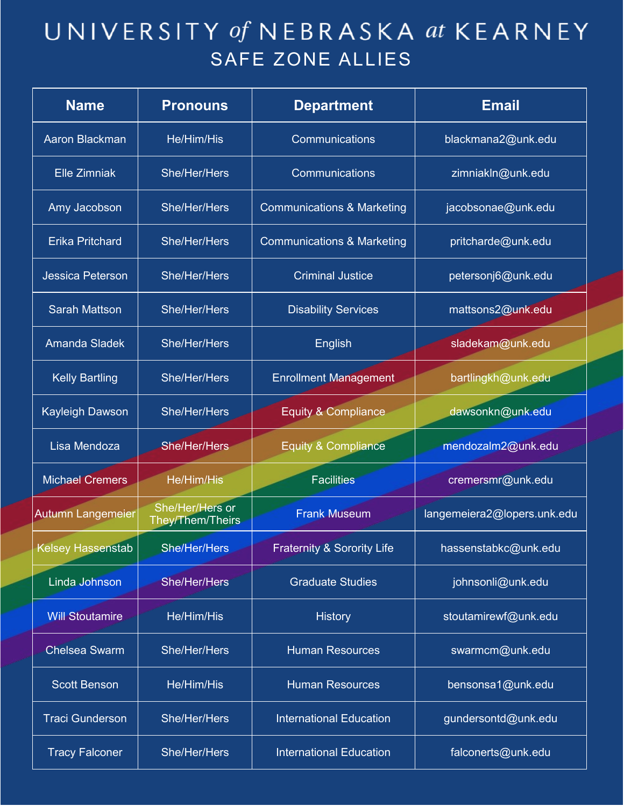| <b>Name</b>              | <b>Pronouns</b>                     | <b>Department</b>                     | <b>Email</b>                |
|--------------------------|-------------------------------------|---------------------------------------|-----------------------------|
| <b>Aaron Blackman</b>    | He/Him/His                          | Communications                        | blackmana2@unk.edu          |
| <b>Elle Zimniak</b>      | She/Her/Hers                        | Communications                        | zimniakln@unk.edu           |
| Amy Jacobson             | She/Her/Hers                        | <b>Communications &amp; Marketing</b> | jacobsonae@unk.edu          |
| <b>Erika Pritchard</b>   | She/Her/Hers                        | <b>Communications &amp; Marketing</b> | pritcharde@unk.edu          |
| <b>Jessica Peterson</b>  | She/Her/Hers                        | <b>Criminal Justice</b>               | petersonj6@unk.edu          |
| <b>Sarah Mattson</b>     | She/Her/Hers                        | <b>Disability Services</b>            | mattsons2@unk.edu           |
| <b>Amanda Sladek</b>     | She/Her/Hers                        | English                               | sladekam@unk.edu            |
| <b>Kelly Bartling</b>    | She/Her/Hers                        | <b>Enrollment Management</b>          | bartlingkh@unk.edu          |
| <b>Kayleigh Dawson</b>   | She/Her/Hers                        | <b>Equity &amp; Compliance</b>        | dawsonkn@unk.edu            |
| Lisa Mendoza             | She/Her/Hers                        | <b>Equity &amp; Compliance</b>        | mendozalm2@unk.edu          |
| <b>Michael Cremers</b>   | He/Him/His                          | <b>Facilities</b>                     | cremersmr@unk.edu           |
| <b>Autumn Langemeier</b> | She/Her/Hers or<br>They/Them/Theirs | <b>Frank Museum</b>                   | langemeiera2@lopers.unk.edu |
| Kelsey Hassenstab        | <b>She/Her/Hers</b>                 | Fraternity & Sorority Life            | hassenstabkc@unk.edu        |
| Linda Johnson            | She/Her/Hers                        | <b>Graduate Studies</b>               | johnsonli@unk.edu           |
| <b>Will Stoutamire</b>   | He/Him/His                          | <b>History</b>                        | stoutamirewf@unk.edu        |
| <b>Chelsea Swarm</b>     | She/Her/Hers                        | <b>Human Resources</b>                | swarmcm@unk.edu             |
| <b>Scott Benson</b>      | He/Him/His                          | <b>Human Resources</b>                | bensonsa1@unk.edu           |
| <b>Traci Gunderson</b>   | She/Her/Hers                        | <b>International Education</b>        | gundersontd@unk.edu         |
| <b>Tracy Falconer</b>    | She/Her/Hers                        | <b>International Education</b>        | falconerts@unk.edu          |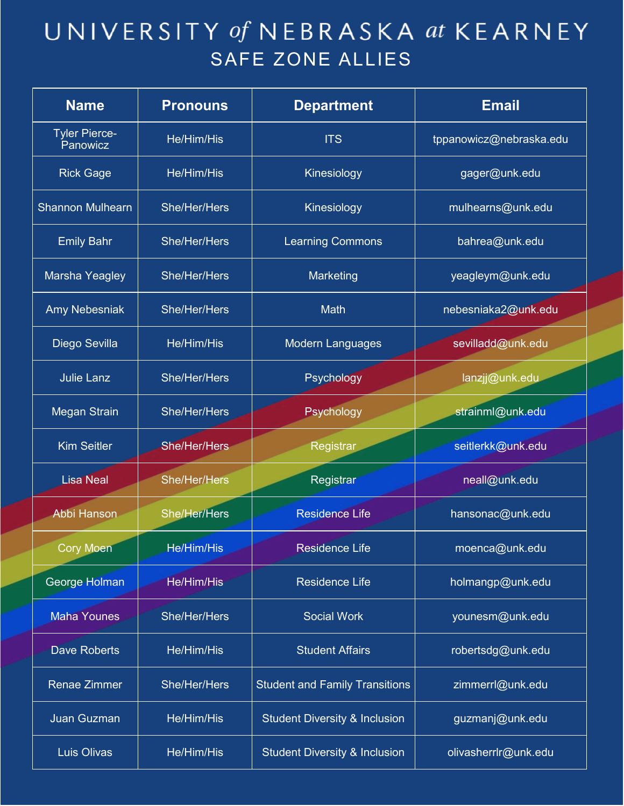| <b>Name</b>                      | <b>Pronouns</b>     | <b>Department</b>                        | <b>Email</b>            |
|----------------------------------|---------------------|------------------------------------------|-------------------------|
| <b>Tyler Pierce-</b><br>Panowicz | He/Him/His          | <b>ITS</b>                               | tppanowicz@nebraska.edu |
| <b>Rick Gage</b>                 | He/Him/His          | Kinesiology                              | gager@unk.edu           |
| <b>Shannon Mulhearn</b>          | She/Her/Hers        | Kinesiology                              | mulhearns@unk.edu       |
| <b>Emily Bahr</b>                | She/Her/Hers        | <b>Learning Commons</b>                  | bahrea@unk.edu          |
| Marsha Yeagley                   | She/Her/Hers        | Marketing                                | yeagleym@unk.edu        |
| <b>Amy Nebesniak</b>             | She/Her/Hers        | <b>Math</b>                              | nebesniaka2@unk.edu     |
| Diego Sevilla                    | He/Him/His          | <b>Modern Languages</b>                  | sevilladd@unk.edu       |
| <b>Julie Lanz</b>                | She/Her/Hers        | Psychology                               | lanzjj@unk.edu          |
| <b>Megan Strain</b>              | She/Her/Hers        | Psychology                               | strainml@unk.edu        |
| <b>Kim Seitler</b>               | <b>She/Her/Hers</b> | Registrar                                | seitlerkk@unk.edu       |
| <b>Lisa Neal</b>                 | She/Her/Hers        | Registrar                                | neall@unk.edu           |
| <b>Abbi Hanson</b>               | She/Her/Hers        | <b>Residence Life</b>                    | hansonac@unk.edu        |
| <b>Cory Moen</b>                 | He/Him/His          | <b>Residence Life</b>                    | moenca@unk.edu          |
| George Holman                    | He/Him/His          | <b>Residence Life</b>                    | holmangp@unk.edu        |
| <b>Maha Younes</b>               | She/Her/Hers        | <b>Social Work</b>                       | younesm@unk.edu         |
| <b>Dave Roberts</b>              | He/Him/His          | <b>Student Affairs</b>                   | robertsdg@unk.edu       |
| <b>Renae Zimmer</b>              | She/Her/Hers        | <b>Student and Family Transitions</b>    | zimmerrl@unk.edu        |
| <b>Juan Guzman</b>               | He/Him/His          | <b>Student Diversity &amp; Inclusion</b> | guzmanj@unk.edu         |
| <b>Luis Olivas</b>               | He/Him/His          | <b>Student Diversity &amp; Inclusion</b> | olivasherrlr@unk.edu    |